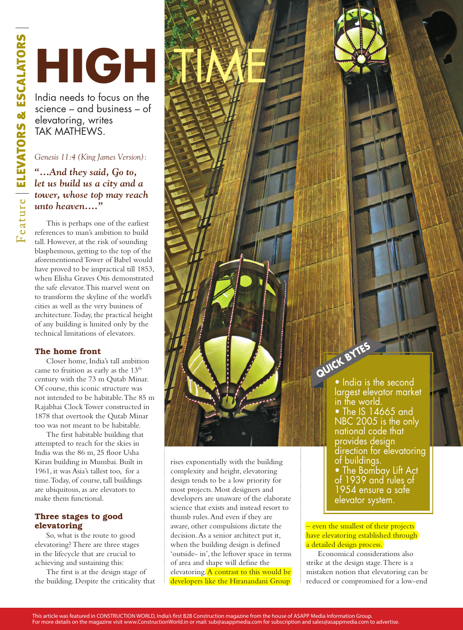# HIGH SH

France – and business – of<br>elevatoring, writes<br>TAK MATHEWS.<br>Genesis 11:4 (King James Version):<br>"...And they said, Go to,<br>tet us build us a city and a<br>tower, whose top may reach<br>unto heaven...."<br>This is perhaps one of the e science – and business – of elevatoring, writes TAK MATHEWS.

### *Genesis 11:4 (King James Version):*

*"…And they said, Go to, let us build us a city and a tower, whose top may reach unto heaven...."* 

This is perhaps one of the earliest references to man's ambition to build tall. However, at the risk of sounding blasphemous, getting to the top of the aforementioned Tower of Babel would have proved to be impractical till 1853, when Elisha Graves Otis demonstrated the safe elevator. This marvel went on to transform the skyline of the world's cities as well as the very business of architecture. Today, the practical height of any building is limited only by the technical limitations of elevators.

#### The home front

Closer home, India's tall ambition came to fruition as early as the 13<sup>th</sup> century with the 73 m Qutab Minar. Of course, this iconic structure was not intended to be habitable. The 85 m Rajabhai Clock Tower constructed in 1878 that overtook the Qutab Minar too was not meant to be habitable.

The first habitable building that attempted to reach for the skies in India was the 86 m, 25 floor Usha Kiran building in Mumbai. Built in 1961, it was Asia's tallest too, for a time. Today, of course, tall buildings are ubiquitous, as are elevators to make them functional.

#### Three stages to good elevatoring

So, what is the route to good elevatoring? There are three stages in the lifecycle that are crucial to achieving and sustaining this:

The first is at the design stage of the building. Despite the criticality that

rises exponentially with the building complexity and height, elevatoring design tends to be a low priority for most projects. Most designers and developers are unaware of the elaborate science that exists and instead resort to thumb rules. And even if they are aware, other compulsions dictate the decision. As a senior architect put it, when the building design is defined 'outside- in', the leftover space in terms of area and shape will define the elevatoring. A contrast to this would be developers like the Hiranandani Group

• India is the second largest elevator market in the world. **Quick Bytes**

www.com

• The IS 14665 and  $\overline{a}$ NBC 2005 is the only national code that provides design direction for elevatoring of buildings. • The Bombay Lift Act of 1939 and rules of 1954 ensure a safe elevator system.

– even the smallest of their projects have elevatoring established through a detailed design process.

Economical considerations also strike at the design stage. There is a mistaken notion that elevatoring can be reduced or compromised for a low-end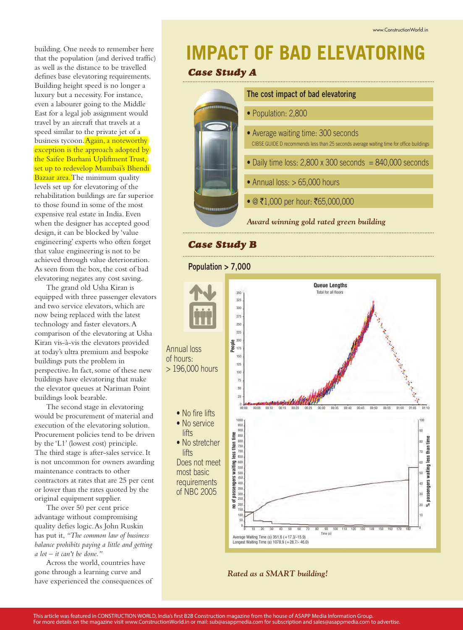building. One needs to remember here that the population (and derived traffic) as well as the distance to be travelled defines base elevatoring requirements. Building height speed is no longer a luxury but a necessity. For instance, even a labourer going to the Middle East for a legal job assignment would travel by an aircraft that travels at a speed similar to the private jet of a business tycoon. Again, a noteworthy exception is the approach adopted by the Saifee Burhani Upliftment Trust, set up to redevelop Mumbai's Bhendi Bazaar area. The minimum quality levels set up for elevatoring of the rehabilitation buildings are far superior to those found in some of the most expensive real estate in India. Even when the designer has accepted good design, it can be blocked by 'value engineering' experts who often forget that value engineering is not to be achieved through value deterioration. As seen from the box, the cost of bad elevatoring negates any cost saving.

The grand old Usha Kiran is equipped with three passenger elevators and two service elevators, which are now being replaced with the latest technology and faster elevators. A comparison of the elevatoring at Usha Kiran vis-à-vis the elevators provided at today's ultra premium and bespoke buildings puts the problem in perspective. In fact, some of these new buildings have elevatoring that make the elevator queues at Nariman Point buildings look bearable.

The second stage in elevatoring would be procurement of material and execution of the elevatoring solution. Procurement policies tend to be driven by the 'L1' (lowest cost) principle. The third stage is after-sales service. It is not uncommon for owners awarding maintenance contracts to other contractors at rates that are 25 per cent or lower than the rates quoted by the original equipment supplier.

The over 50 per cent price advantage without compromising quality defies logic. As John Ruskin has put it, *"The common law of business balance prohibits paying a little and getting a lot – it can't be done."*

Across the world, countries have gone through a learning curve and have experienced the consequences of

## **IMPACT OF BAD ELEVATORING**

#### *Case Study A*



#### *Case Study B*

**Population > 7,000**



*Rated as a SMART building!*